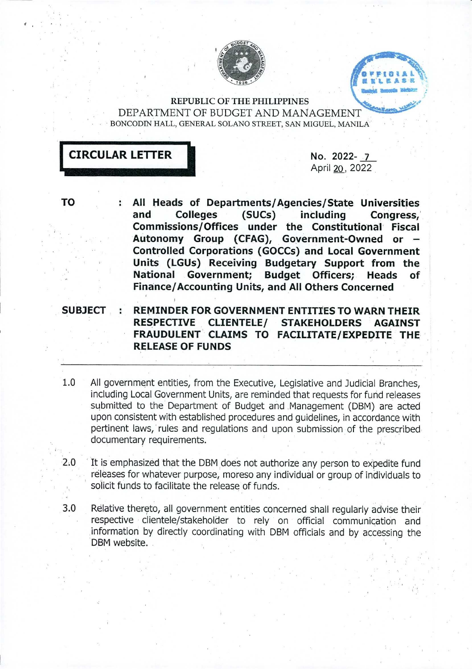



REPUBLIC OF THE PHILIPPINES DEPARTMENT OF BUDGET AND MANAGEMENT^ BONCODIN HALL, GENERAL SOLANO STREET, SAN MIGUEL, MANILA



April 20. 2022

- **TO** : **All Heads of Departments/Agencies/State Universities and Colleges (SUCs) including Congress/ Commissions/Offices under the Constitutional Fiscal Autonomy Group (CFAG), Government-Owned or - Controlled Corporations (GOCCs) and Local Government Units (LGUs) Receiving Budgetary Support from the National Government; Budget Officers; Heads of Finance/Accounting Units, and All Others Concerned**
- **SUBJECT : REMINDER FOR GOVERNMENT ENTITIES TO WARN THEIR RESPECTIVE CLIENTELE/ STAKEHOLDERS AGAINST FRAUDULENT CLAIMS TO FACILITATE/EXPEDITE THE RELEASE OF FUNDS**
- 1.0 All government entities, from the Executive, Legislative and Judicial Branches, including Local Government Units, are reminded that requests for fund releases submitted to the Department of Budget and Management (DBM) are acted upon consistent with established procedures and guidelines, in accordance with pertinent laws, rules and regulations and upon submission of the prescribed documentary requirements.
- 2;0 It is emphasized that the DBM does not authorize any person to expedite fund releases for whatever purpose, moreso any individual or group of individuals to solicit funds to facilitate the release of funds.

**3.0** Relative thereto, all government entities concerned shall regularly advise their respective clientele/stakeholder to rely on official communication and information by directly coordinating with DBM officials and by accessing the DBM website.